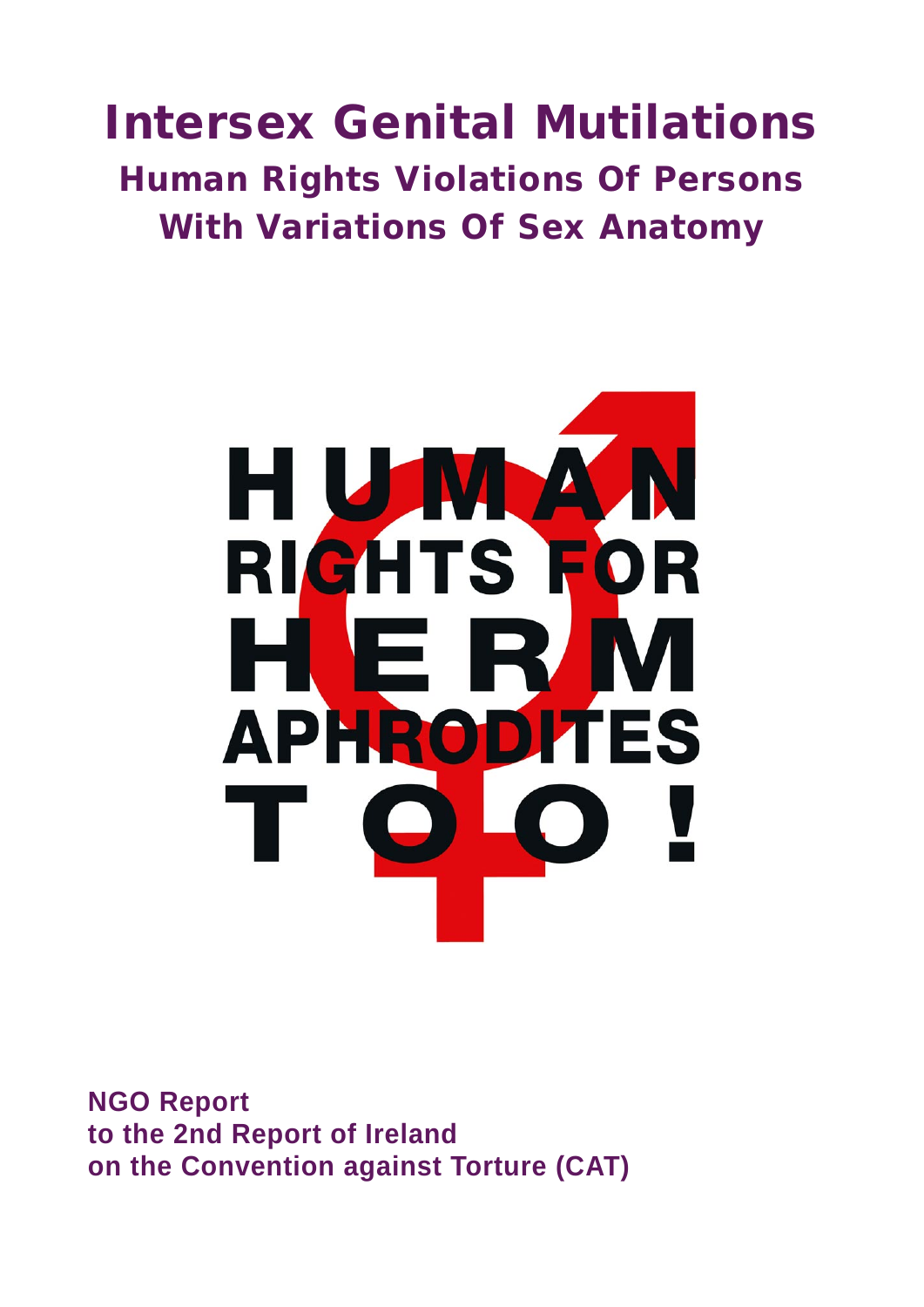# Intersex Genital Mutilations Human Rights Violations Of Persons With Variations Of Sex Anatomy



**NGO Report to the 2nd Report of Ireland on the Convention against Torture (CAT)**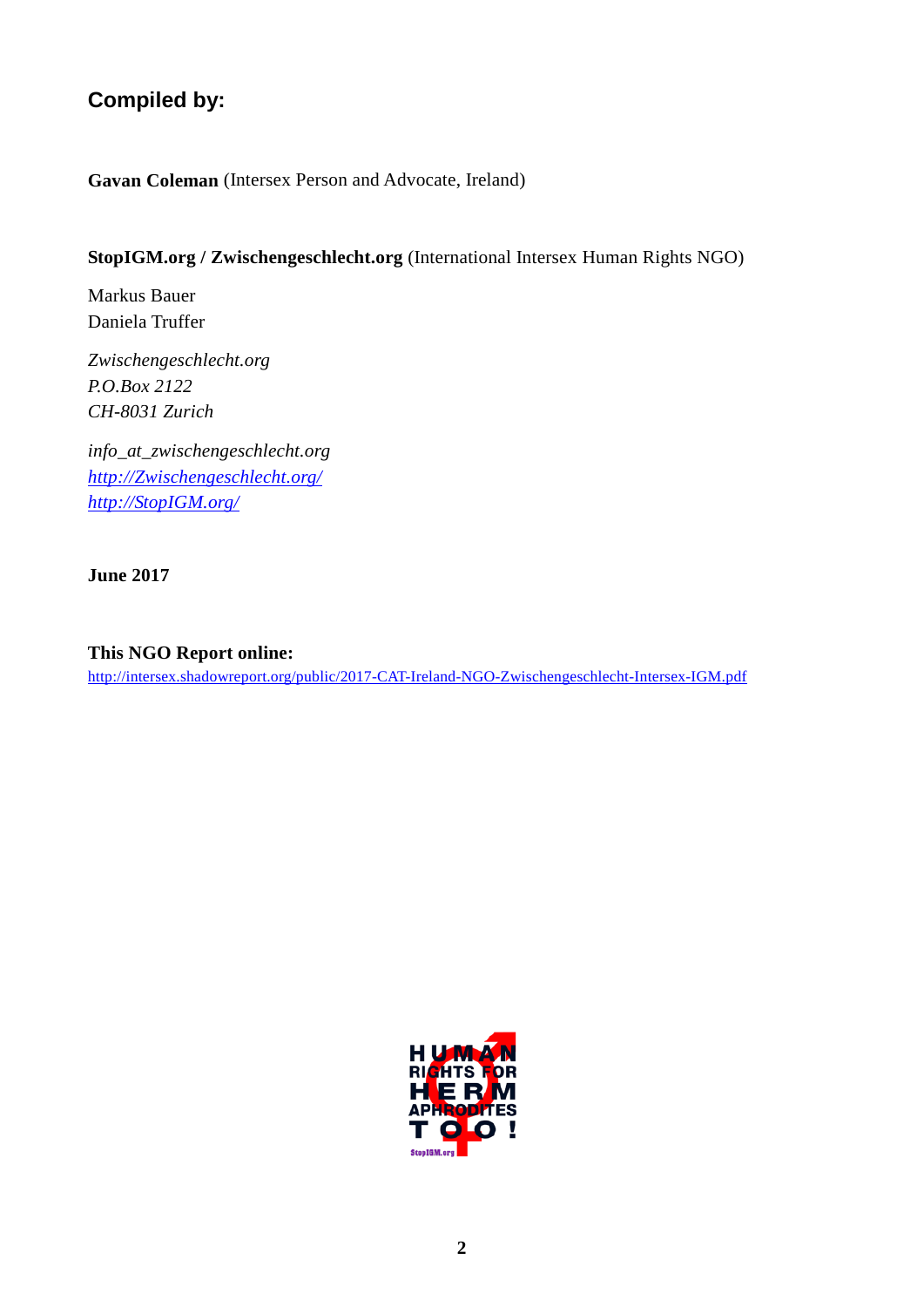# **Compiled by:**

**Gavan Coleman** (Intersex Person and Advocate, Ireland)

#### **StopIGM.org / Zwischengeschlecht.org** (International Intersex Human Rights NGO)

Markus Bauer Daniela Truffer

*Zwischengeschlecht.org P.O.Box 2122 CH-8031 Zurich*

*info\_at\_zwischengeschlecht.org [http://Zwischengeschlecht.org/](http://zwischengeschlecht.org/) [http://StopIGM.org/](http://stopigm.org/)*

**June 2017**

**This NGO Report online:** <http://intersex.shadowreport.org/public/2017-CAT-Ireland-NGO-Zwischengeschlecht-Intersex-IGM.pdf>

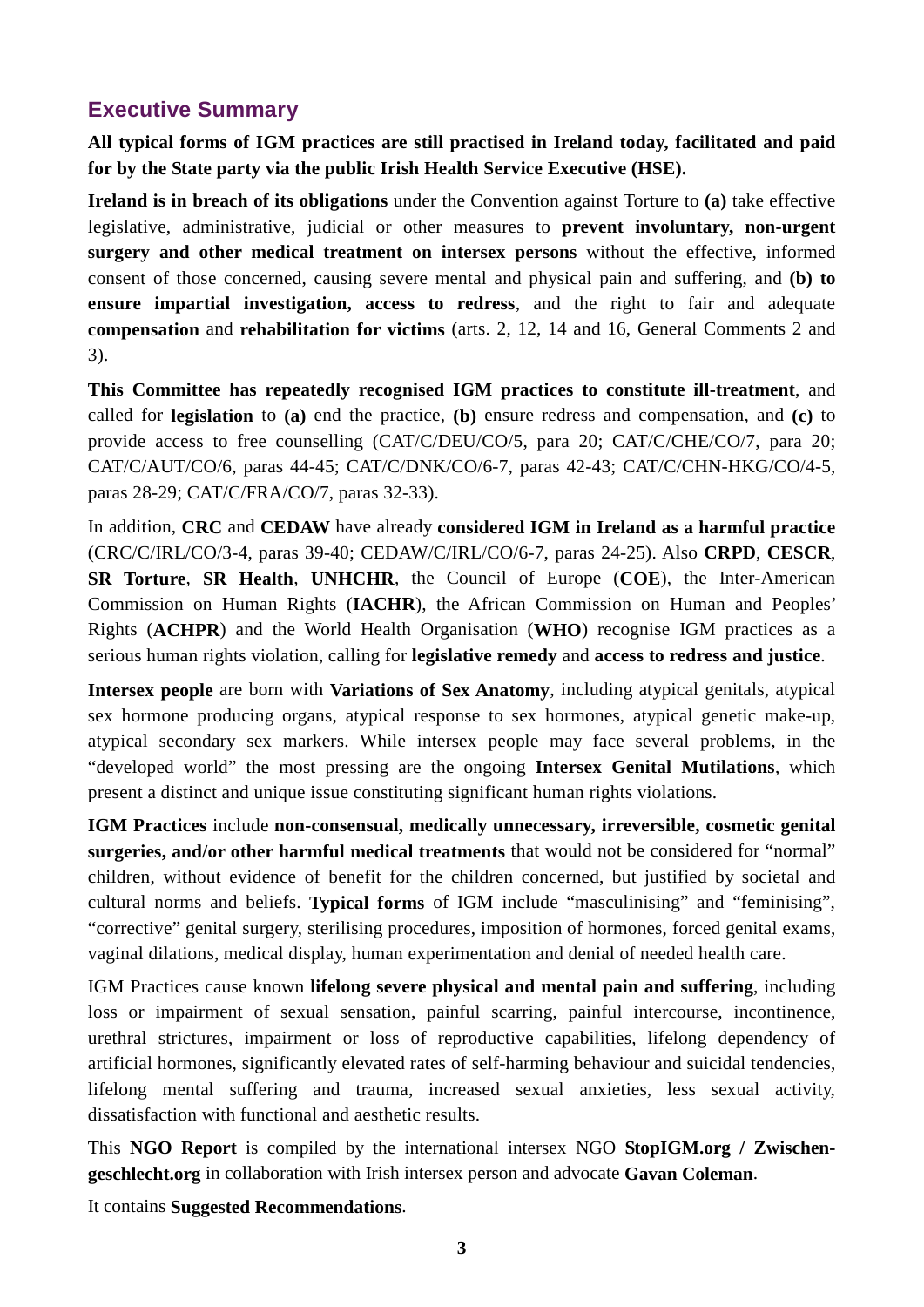# <span id="page-2-0"></span>**Executive Summary**

**All typical forms of IGM practices are still practised in Ireland today, facilitated and paid for by the State party via the public Irish Health Service Executive (HSE).**

**Ireland is in breach of its obligations** under the Convention against Torture to **(a)** take effective legislative, administrative, judicial or other measures to **prevent involuntary, non-urgent surgery and other medical treatment on intersex persons** without the effective, informed consent of those concerned, causing severe mental and physical pain and suffering, and **(b) to ensure impartial investigation, access to redress**, and the right to fair and adequate **compensation** and **rehabilitation for victims** (arts. 2, 12, 14 and 16, General Comments 2 and 3).

**This Committee has repeatedly recognised IGM practices to constitute ill-treatment**, and called for **legislation** to **(a)** end the practice, **(b)** ensure redress and compensation, and **(c)** to provide access to free counselling (CAT/C/DEU/CO/5, para 20; CAT/C/CHE/CO/7, para 20; CAT/C/AUT/CO/6, paras 44-45; CAT/C/DNK/CO/6-7, paras 42-43; CAT/C/CHN-HKG/CO/4-5, paras 28-29; CAT/C/FRA/CO/7, paras 32-33).

In addition, **CRC** and **CEDAW** have already **considered IGM in Ireland as a harmful practice** (CRC/C/IRL/CO/3-4, paras 39-40; CEDAW/C/IRL/CO/6-7, paras 24-25). Also **CRPD**, **CESCR**, **SR Torture**, **SR Health**, **UNHCHR**, the Council of Europe (**COE**), the Inter-American Commission on Human Rights (**IACHR**), the African Commission on Human and Peoples' Rights (**ACHPR**) and the World Health Organisation (**WHO**) recognise IGM practices as a serious human rights violation, calling for **legislative remedy** and **access to redress and justice**.

**Intersex people** are born with **Variations of Sex Anatomy**, including atypical genitals, atypical sex hormone producing organs, atypical response to sex hormones, atypical genetic make-up, atypical secondary sex markers. While intersex people may face several problems, in the "developed world" the most pressing are the ongoing **Intersex Genital Mutilations**, which present a distinct and unique issue constituting significant human rights violations.

**IGM Practices** include **non-consensual, medically unnecessary, irreversible, cosmetic genital surgeries, and/or other harmful medical treatments** that would not be considered for "normal" children, without evidence of benefit for the children concerned, but justified by societal and cultural norms and beliefs. **Typical forms** of IGM include "masculinising" and "feminising", "corrective" genital surgery, sterilising procedures, imposition of hormones, forced genital exams, vaginal dilations, medical display, human experimentation and denial of needed health care.

IGM Practices cause known **lifelong severe physical and mental pain and suffering**, including loss or impairment of sexual sensation, painful scarring, painful intercourse, incontinence, urethral strictures, impairment or loss of reproductive capabilities, lifelong dependency of artificial hormones, significantly elevated rates of self-harming behaviour and suicidal tendencies, lifelong mental suffering and trauma, increased sexual anxieties, less sexual activity, dissatisfaction with functional and aesthetic results.

This **NGO Report** is compiled by the international intersex NGO **StopIGM.org / Zwischengeschlecht.org** in collaboration with Irish intersex person and advocate **Gavan Coleman**.

It contains **Suggested Recommendations**.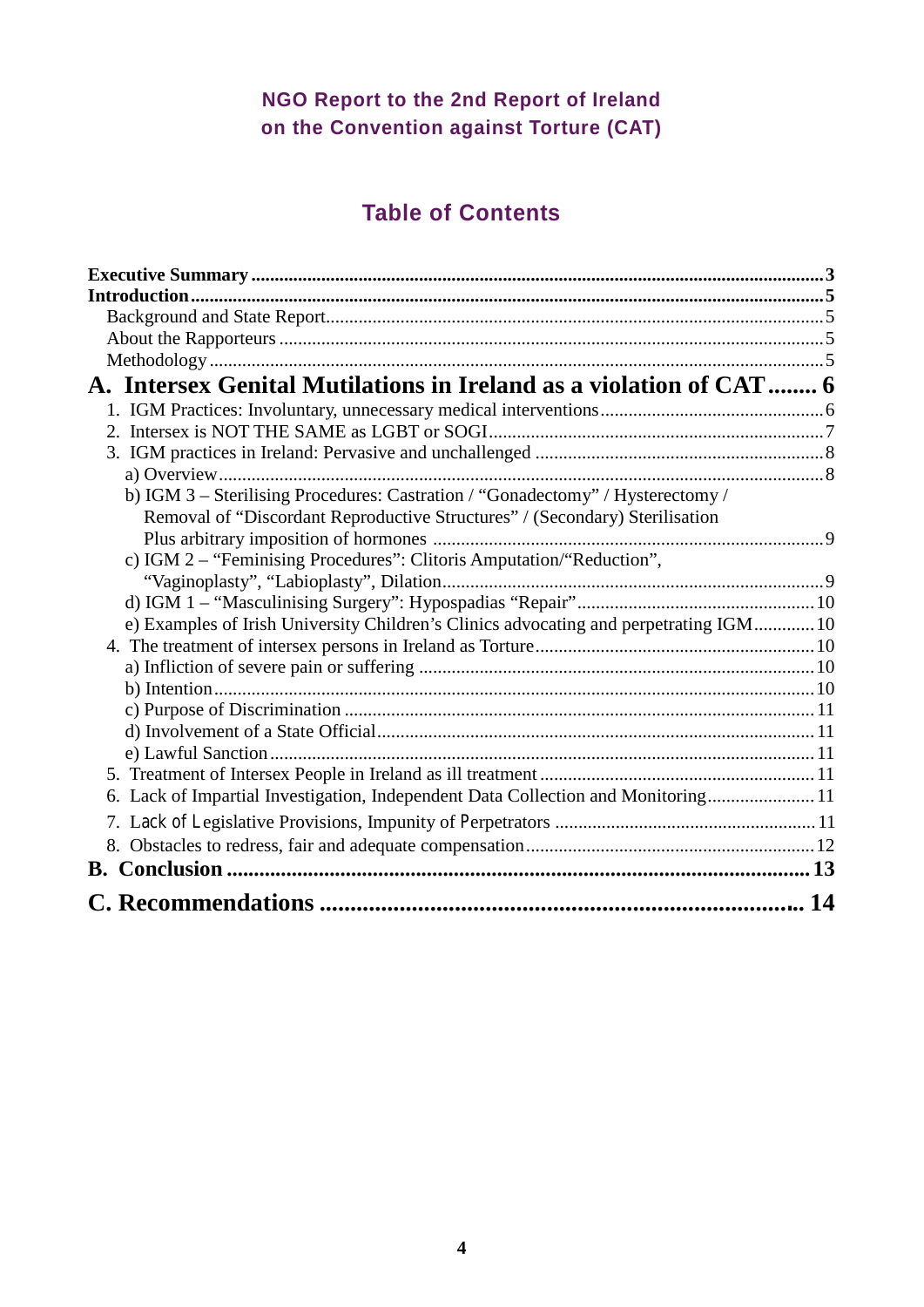# **NGO Report to the 2nd Report of Ireland on the Convention against Torture (CAT)**

# **Table of Contents**

| A. Intersex Genital Mutilations in Ireland as a violation of CAT 6<br>b) IGM 3 - Sterilising Procedures: Castration / "Gonadectomy" / Hysterectomy /<br>Removal of "Discordant Reproductive Structures" / (Secondary) Sterilisation<br>c) IGM 2 - "Feminising Procedures": Clitoris Amputation/"Reduction",<br>e) Examples of Irish University Children's Clinics advocating and perpetrating IGM 10<br>6. Lack of Impartial Investigation, Independent Data Collection and Monitoring 11<br>14 |  |
|-------------------------------------------------------------------------------------------------------------------------------------------------------------------------------------------------------------------------------------------------------------------------------------------------------------------------------------------------------------------------------------------------------------------------------------------------------------------------------------------------|--|
|                                                                                                                                                                                                                                                                                                                                                                                                                                                                                                 |  |
|                                                                                                                                                                                                                                                                                                                                                                                                                                                                                                 |  |
|                                                                                                                                                                                                                                                                                                                                                                                                                                                                                                 |  |
|                                                                                                                                                                                                                                                                                                                                                                                                                                                                                                 |  |
|                                                                                                                                                                                                                                                                                                                                                                                                                                                                                                 |  |
|                                                                                                                                                                                                                                                                                                                                                                                                                                                                                                 |  |
|                                                                                                                                                                                                                                                                                                                                                                                                                                                                                                 |  |
|                                                                                                                                                                                                                                                                                                                                                                                                                                                                                                 |  |
|                                                                                                                                                                                                                                                                                                                                                                                                                                                                                                 |  |
|                                                                                                                                                                                                                                                                                                                                                                                                                                                                                                 |  |
|                                                                                                                                                                                                                                                                                                                                                                                                                                                                                                 |  |
|                                                                                                                                                                                                                                                                                                                                                                                                                                                                                                 |  |
|                                                                                                                                                                                                                                                                                                                                                                                                                                                                                                 |  |
|                                                                                                                                                                                                                                                                                                                                                                                                                                                                                                 |  |
|                                                                                                                                                                                                                                                                                                                                                                                                                                                                                                 |  |
|                                                                                                                                                                                                                                                                                                                                                                                                                                                                                                 |  |
|                                                                                                                                                                                                                                                                                                                                                                                                                                                                                                 |  |
|                                                                                                                                                                                                                                                                                                                                                                                                                                                                                                 |  |
|                                                                                                                                                                                                                                                                                                                                                                                                                                                                                                 |  |
|                                                                                                                                                                                                                                                                                                                                                                                                                                                                                                 |  |
|                                                                                                                                                                                                                                                                                                                                                                                                                                                                                                 |  |
|                                                                                                                                                                                                                                                                                                                                                                                                                                                                                                 |  |
|                                                                                                                                                                                                                                                                                                                                                                                                                                                                                                 |  |
|                                                                                                                                                                                                                                                                                                                                                                                                                                                                                                 |  |
|                                                                                                                                                                                                                                                                                                                                                                                                                                                                                                 |  |
|                                                                                                                                                                                                                                                                                                                                                                                                                                                                                                 |  |
|                                                                                                                                                                                                                                                                                                                                                                                                                                                                                                 |  |
|                                                                                                                                                                                                                                                                                                                                                                                                                                                                                                 |  |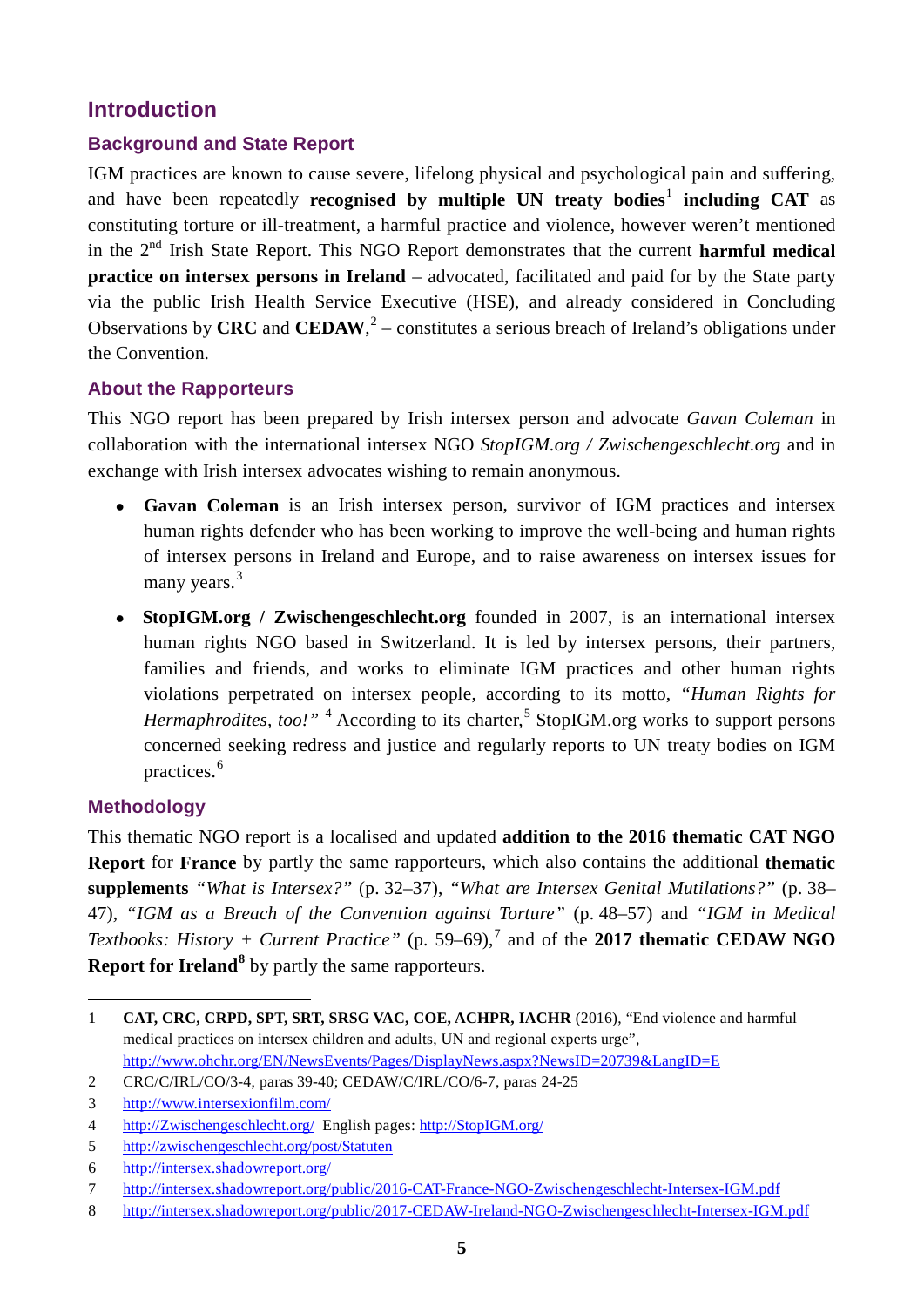# <span id="page-4-0"></span>**Introduction**

#### <span id="page-4-1"></span>**Background and State Report**

IGM practices are known to cause severe, lifelong physical and psychological pain and suffering, and have been repeatedly **recognised by multiple UN treaty bodies<sup>[1](#page-4-4)</sup> including CAT** as constituting torture or ill-treatment, a harmful practice and violence, however weren't mentioned in the 2nd Irish State Report. This NGO Report demonstrates that the current **harmful medical practice on intersex persons in Ireland** – advocated, facilitated and paid for by the State party via the public Irish Health Service Executive (HSE), and already considered in Concluding Observations by CRC and CEDAW, $<sup>2</sup>$  $<sup>2</sup>$  $<sup>2</sup>$  – constitutes a serious breach of Ireland's obligations under</sup> the Convention.

#### <span id="page-4-2"></span>**About the Rapporteurs**

This NGO report has been prepared by Irish intersex person and advocate *Gavan Coleman* in collaboration with the international intersex NGO *StopIGM.org / Zwischengeschlecht.org* and in exchange with Irish intersex advocates wishing to remain anonymous.

- **Gavan Coleman** is an Irish intersex person, survivor of IGM practices and intersex human rights defender who has been working to improve the well-being and human rights of intersex persons in Ireland and Europe, and to raise awareness on intersex issues for many years.<sup>[3](#page-4-6)</sup>
- **StopIGM.org / Zwischengeschlecht.org** founded in 2007, is an international intersex human rights NGO based in Switzerland. It is led by intersex persons, their partners, families and friends, and works to eliminate IGM practices and other human rights violations perpetrated on intersex people, according to its motto, *"Human Rights for Hermaphrodites, too!*"<sup>[4](#page-4-7)</sup> According to its charter,<sup>[5](#page-4-8)</sup> StopIGM.org works to support persons concerned seeking redress and justice and regularly reports to UN treaty bodies on IGM practices.[6](#page-4-9)

#### <span id="page-4-3"></span>**Methodology**

This thematic NGO report is a localised and updated **addition to the 2016 thematic CAT NGO Report** for **France** by partly the same rapporteurs, which also contains the additional **thematic supplements** *"What is Intersex?"* (p. 32–37), *"What are Intersex Genital Mutilations?"* (p. 38– 47), *"IGM as a Breach of the Convention against Torture"* (p. 48–57) and *"IGM in Medical Textbooks: History + Current Practice"* (p. 59–69),<sup>[7](#page-4-10)</sup> and of the **2017 thematic CEDAW NGO Report for Ireland<sup>[8](#page-4-11)</sup>** by partly the same rapporteurs.

<span id="page-4-4"></span> <sup>1</sup> **CAT, CRC, CRPD, SPT, SRT, SRSG VAC, COE, ACHPR, IACHR** (2016), "End violence and harmful medical practices on intersex children and adults, UN and regional experts urge",

<http://www.ohchr.org/EN/NewsEvents/Pages/DisplayNews.aspx?NewsID=20739&LangID=E>

<span id="page-4-5"></span><sup>2</sup> CRC/C/IRL/CO/3-4, paras 39-40; CEDAW/C/IRL/CO/6-7, paras 24-25

<span id="page-4-6"></span><sup>3</sup> <http://www.intersexionfilm.com/>

<span id="page-4-7"></span><sup>4</sup> [http://Zwischengeschlecht.org/](http://zwischengeschlecht.org/) English pages: [http://StopIGM.org/](http://stopigm.org/)

<span id="page-4-8"></span><sup>5</sup> <http://zwischengeschlecht.org/post/Statuten>

<span id="page-4-9"></span><sup>6</sup> <http://intersex.shadowreport.org/>

<span id="page-4-10"></span><sup>7</sup> <http://intersex.shadowreport.org/public/2016-CAT-France-NGO-Zwischengeschlecht-Intersex-IGM.pdf>

<span id="page-4-11"></span><sup>8</sup> <http://intersex.shadowreport.org/public/2017-CEDAW-Ireland-NGO-Zwischengeschlecht-Intersex-IGM.pdf>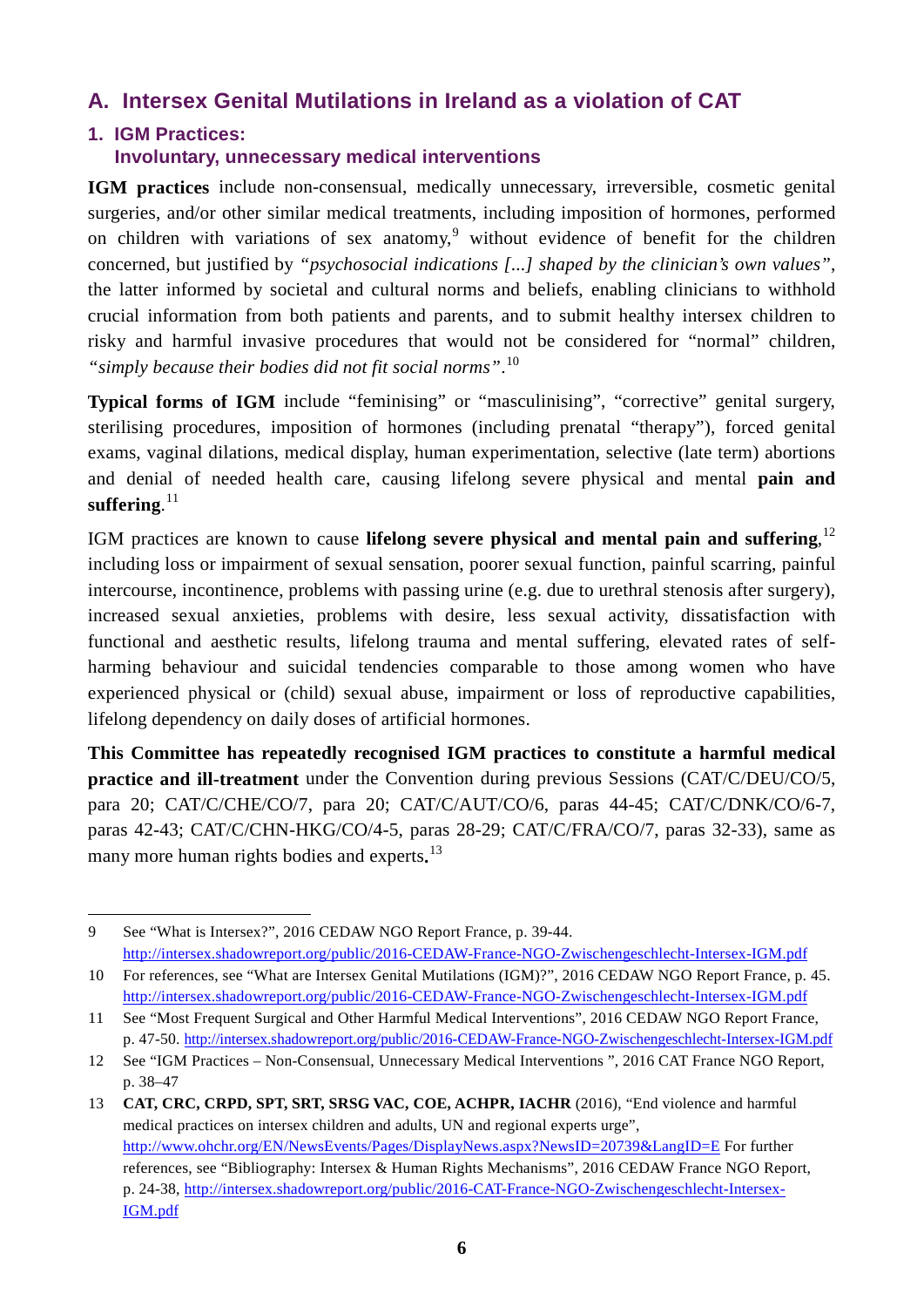# <span id="page-5-0"></span>**A. Intersex Genital Mutilations in Ireland as a violation of CAT**

# <span id="page-5-1"></span>**1. IGM Practices:**

#### **Involuntary, unnecessary medical interventions**

**IGM practices** include non-consensual, medically unnecessary, irreversible, cosmetic genital surgeries, and/or other similar medical treatments, including imposition of hormones, performed on children with variations of sex anatomy,<sup>[9](#page-5-2)</sup> without evidence of benefit for the children concerned, but justified by *"psychosocial indications [...] shaped by the clinician's own values"*, the latter informed by societal and cultural norms and beliefs, enabling clinicians to withhold crucial information from both patients and parents, and to submit healthy intersex children to risky and harmful invasive procedures that would not be considered for "normal" children, *"simply because their bodies did not fit social norms"*. [10](#page-5-3)

Typical forms of IGM include "feminising" or "masculinising", "corrective" genital surgery, sterilising procedures, imposition of hormones (including prenatal "therapy"), forced genital exams, vaginal dilations, medical display, human experimentation, selective (late term) abortions and denial of needed health care, causing lifelong severe physical and mental **pain and suffering**. [11](#page-5-4)

IGM practices are known to cause lifelong severe physical and mental pain and suffering,<sup>[12](#page-5-5)</sup> including loss or impairment of sexual sensation, poorer sexual function, painful scarring, painful intercourse, incontinence, problems with passing urine (e.g. due to urethral stenosis after surgery), increased sexual anxieties, problems with desire, less sexual activity, dissatisfaction with functional and aesthetic results, lifelong trauma and mental suffering, elevated rates of selfharming behaviour and suicidal tendencies comparable to those among women who have experienced physical or (child) sexual abuse, impairment or loss of reproductive capabilities, lifelong dependency on daily doses of artificial hormones.

**This Committee has repeatedly recognised IGM practices to constitute a harmful medical practice and ill-treatment** under the Convention during previous Sessions (CAT/C/DEU/CO/5, para 20; CAT/C/CHE/CO/7, para 20; CAT/C/AUT/CO/6, paras 44-45; CAT/C/DNK/CO/6-7, paras 42-43; CAT/C/CHN-HKG/CO/4-5, paras 28-29; CAT/C/FRA/CO/7, paras 32-33), same as many more human rights bodies and experts**.** [13](#page-5-6)

<span id="page-5-2"></span><sup>-</sup>9 See "What is Intersex?", 2016 CEDAW NGO Report France, p. 39-44. <http://intersex.shadowreport.org/public/2016-CEDAW-France-NGO-Zwischengeschlecht-Intersex-IGM.pdf>

<span id="page-5-3"></span><sup>10</sup> For references, see "What are Intersex Genital Mutilations (IGM)?", 2016 CEDAW NGO Report France, p. 45. <http://intersex.shadowreport.org/public/2016-CEDAW-France-NGO-Zwischengeschlecht-Intersex-IGM.pdf>

<span id="page-5-4"></span><sup>11</sup> See "Most Frequent Surgical and Other Harmful Medical Interventions", 2016 CEDAW NGO Report France, p. 47-50[. http://intersex.shadowreport.org/public/2016-CEDAW-France-NGO-Zwischengeschlecht-Intersex-IGM.pdf](http://intersex.shadowreport.org/public/2016-CEDAW-France-NGO-Zwischengeschlecht-Intersex-IGM.pdf)

<span id="page-5-5"></span><sup>12</sup> See "IGM Practices – Non-Consensual, Unnecessary Medical Interventions ", 2016 CAT France NGO Report, p. 38–47

<span id="page-5-6"></span><sup>13</sup> **CAT, CRC, CRPD, SPT, SRT, SRSG VAC, COE, ACHPR, IACHR** (2016), "End violence and harmful medical practices on intersex children and adults, UN and regional experts urge", <http://www.ohchr.org/EN/NewsEvents/Pages/DisplayNews.aspx?NewsID=20739&LangID=E> For further references, see "Bibliography: Intersex & Human Rights Mechanisms", 2016 CEDAW France NGO Report, p. 24-38[, http://intersex.shadowreport.org/public/2016-CAT-France-NGO-Zwischengeschlecht-Intersex-](http://intersex.shadowreport.org/public/2016-CAT-France-NGO-Zwischengeschlecht-Intersex-IGM.pdf)[IGM.pdf](http://intersex.shadowreport.org/public/2016-CAT-France-NGO-Zwischengeschlecht-Intersex-IGM.pdf)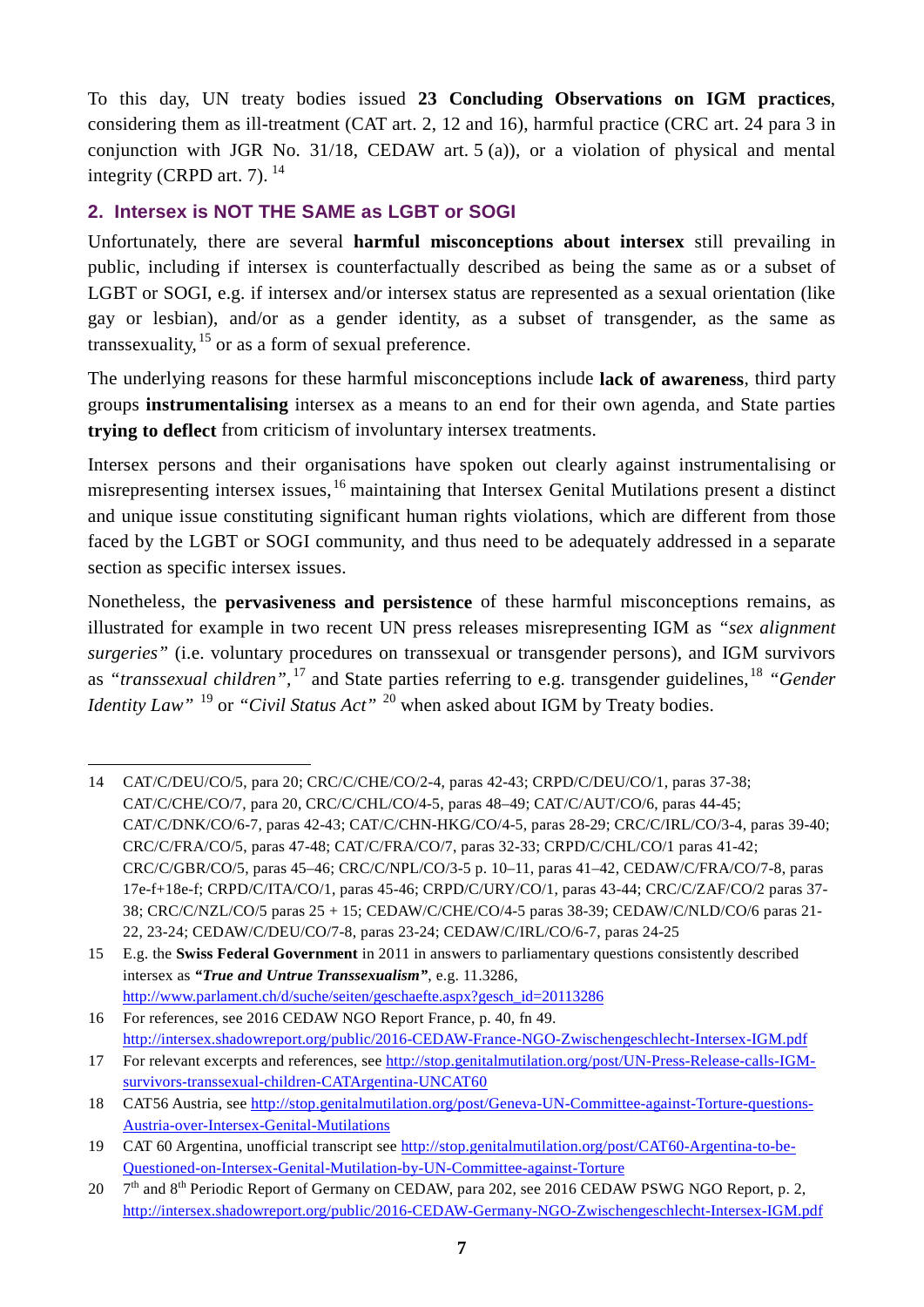To this day, UN treaty bodies issued **23 Concluding Observations on IGM practices**, considering them as ill-treatment (CAT art. 2, 12 and 16), harmful practice (CRC art. 24 para 3 in conjunction with JGR No. 31/18, CEDAW art. 5 (a)), or a violation of physical and mental integrity (CRPD art. 7).  $^{14}$  $^{14}$  $^{14}$ 

# <span id="page-6-0"></span>**2. Intersex is NOT THE SAME as LGBT or SOGI**

Unfortunately, there are several **harmful misconceptions about intersex** still prevailing in public, including if intersex is counterfactually described as being the same as or a subset of LGBT or SOGI, e.g. if intersex and/or intersex status are represented as a sexual orientation (like gay or lesbian), and/or as a gender identity, as a subset of transgender, as the same as transsexuality,  $15$  or as a form of sexual preference.

The underlying reasons for these harmful misconceptions include **lack of awareness**, third party groups **instrumentalising** intersex as a means to an end for their own agenda, and State parties **trying to deflect** from criticism of involuntary intersex treatments.

Intersex persons and their organisations have spoken out clearly against instrumentalising or misrepresenting intersex issues, [16](#page-6-3) maintaining that Intersex Genital Mutilations present a distinct and unique issue constituting significant human rights violations, which are different from those faced by the LGBT or SOGI community, and thus need to be adequately addressed in a separate section as specific intersex issues.

Nonetheless, the **pervasiveness and persistence** of these harmful misconceptions remains, as illustrated for example in two recent UN press releases misrepresenting IGM as *"sex alignment surgeries"* (i.e. voluntary procedures on transsexual or transgender persons), and IGM survivors as "transsexual children",<sup>[17](#page-6-4)</sup> and State parties referring to e.g. transgender guidelines,<sup>[18](#page-6-5)</sup> "Gender *Identity Law*<sup>" [19](#page-6-6)</sup> or "*Civil Status Act*" <sup>[20](#page-6-7)</sup> when asked about IGM by Treaty bodies.

<span id="page-6-3"></span>[http://www.parlament.ch/d/suche/seiten/geschaefte.aspx?gesch\\_id=20113286](http://www.parlament.ch/d/suche/seiten/geschaefte.aspx?gesch_id=20113286) 16 For references, see 2016 CEDAW NGO Report France, p. 40, fn 49.

<http://intersex.shadowreport.org/public/2016-CEDAW-France-NGO-Zwischengeschlecht-Intersex-IGM.pdf>

<span id="page-6-1"></span><sup>&</sup>lt;u>.</u> 14 CAT/C/DEU/CO/5, para 20; CRC/C/CHE/CO/2-4, paras 42-43; CRPD/C/DEU/CO/1, paras 37-38; CAT/C/CHE/CO/7, para 20, CRC/C/CHL/CO/4-5, paras 48–49; CAT/C/AUT/CO/6, paras 44-45; CAT/C/DNK/CO/6-7, paras 42-43; CAT/C/CHN-HKG/CO/4-5, paras 28-29; CRC/C/IRL/CO/3-4, paras 39-40; CRC/C/FRA/CO/5, paras 47-48; CAT/C/FRA/CO/7, paras 32-33; CRPD/C/CHL/CO/1 paras 41-42; CRC/C/GBR/CO/5, paras 45–46; CRC/C/NPL/CO/3-5 p. 10–11, paras 41–42, CEDAW/C/FRA/CO/7-8, paras 17e-f+18e-f; CRPD/C/ITA/CO/1, paras 45-46; CRPD/C/URY/CO/1, paras 43-44; CRC/C/ZAF/CO/2 paras 37- 38; CRC/C/NZL/CO/5 paras 25 + 15; CEDAW/C/CHE/CO/4-5 paras 38-39; CEDAW/C/NLD/CO/6 paras 21- 22, 23-24; CEDAW/C/DEU/CO/7-8, paras 23-24; CEDAW/C/IRL/CO/6-7, paras 24-25

<span id="page-6-2"></span><sup>15</sup> E.g. the **Swiss Federal Government** in 2011 in answers to parliamentary questions consistently described intersex as *"True and Untrue Transsexualism"*, e.g. 11.3286,

<span id="page-6-4"></span><sup>17</sup> For relevant excerpts and references, see [http://stop.genitalmutilation.org/post/UN-Press-Release-calls-IGM](http://stop.genitalmutilation.org/post/UN-Press-Release-calls-IGM-survivors-transsexual-children-CATArgentina-UNCAT60)[survivors-transsexual-children-CATArgentina-UNCAT60](http://stop.genitalmutilation.org/post/UN-Press-Release-calls-IGM-survivors-transsexual-children-CATArgentina-UNCAT60)

<span id="page-6-5"></span><sup>18</sup> CAT56 Austria, see [http://stop.genitalmutilation.org/post/Geneva-UN-Committee-against-Torture-questions-](http://stop.genitalmutilation.org/post/Geneva-UN-Committee-against-Torture-questions-Austria-over-Intersex-Genital-Mutilations)[Austria-over-Intersex-Genital-Mutilations](http://stop.genitalmutilation.org/post/Geneva-UN-Committee-against-Torture-questions-Austria-over-Intersex-Genital-Mutilations)

<span id="page-6-6"></span><sup>19</sup> CAT 60 Argentina, unofficial transcript see [http://stop.genitalmutilation.org/post/CAT60-Argentina-to-be-](http://stop.genitalmutilation.org/post/CAT60-Argentina-to-be-Questioned-on-Intersex-Genital-Mutilation-by-UN-Committee-against-Torture)[Questioned-on-Intersex-Genital-Mutilation-by-UN-Committee-against-Torture](http://stop.genitalmutilation.org/post/CAT60-Argentina-to-be-Questioned-on-Intersex-Genital-Mutilation-by-UN-Committee-against-Torture)

<span id="page-6-7"></span><sup>20 7&</sup>lt;sup>th</sup> and 8<sup>th</sup> Periodic Report of Germany on CEDAW, para 202, see 2016 CEDAW PSWG NGO Report, p. 2, <http://intersex.shadowreport.org/public/2016-CEDAW-Germany-NGO-Zwischengeschlecht-Intersex-IGM.pdf>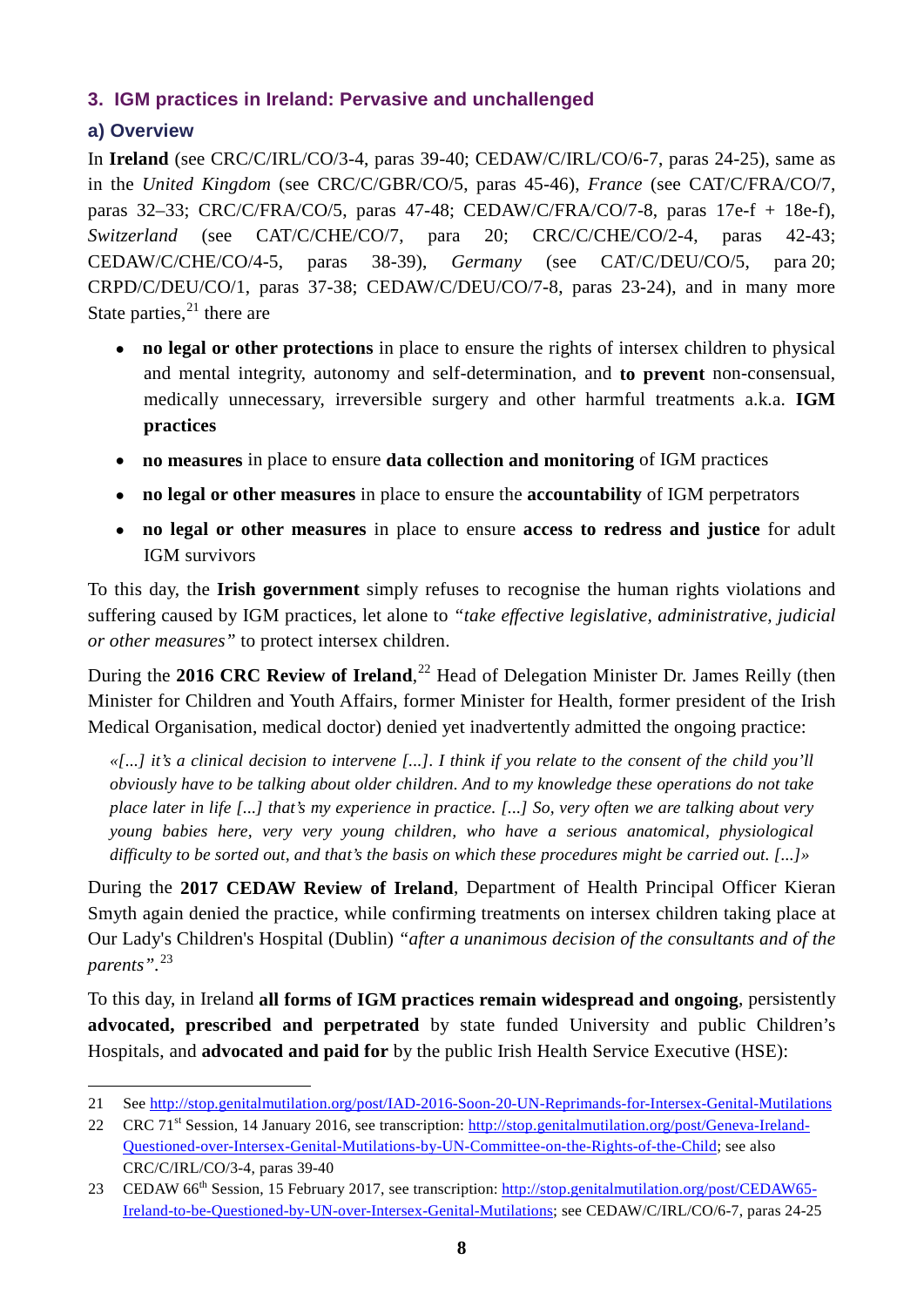# <span id="page-7-0"></span>**3. IGM practices in Ireland: Pervasive and unchallenged**

# <span id="page-7-1"></span>**a) Overview**

In **Ireland** (see CRC/C/IRL/CO/3-4, paras 39-40; CEDAW/C/IRL/CO/6-7, paras 24-25), same as in the *United Kingdom* (see CRC/C/GBR/CO/5, paras 45-46), *France* (see CAT/C/FRA/CO/7, paras 32–33; CRC/C/FRA/CO/5, paras 47-48; CEDAW/C/FRA/CO/7-8, paras 17e-f + 18e-f), *Switzerland* (see CAT/C/CHE/CO/7, para 20; CRC/C/CHE/CO/2-4, paras 42-43; CEDAW/C/CHE/CO/4-5, paras 38-39), *Germany* (see CAT/C/DEU/CO/5, para 20; CRPD/C/DEU/CO/1, paras 37-38; CEDAW/C/DEU/CO/7-8, paras 23-24), and in many more State parties,  $2<sup>1</sup>$  there are

- **no legal or other protections** in place to ensure the rights of intersex children to physical and mental integrity, autonomy and self-determination, and **to prevent** non-consensual, medically unnecessary, irreversible surgery and other harmful treatments a.k.a. **IGM practices**
- **no measures** in place to ensure **data collection and monitoring** of IGM practices
- **no legal or other measures** in place to ensure the **accountability** of IGM perpetrators
- **no legal or other measures** in place to ensure **access to redress and justice** for adult IGM survivors

To this day, the **Irish government** simply refuses to recognise the human rights violations and suffering caused by IGM practices, let alone to *"take effective legislative, administrative, judicial or other measures"* to protect intersex children.

During the **2016 CRC Review of Ireland**,<sup>[22](#page-7-3)</sup> Head of Delegation Minister Dr. James Reilly (then Minister for Children and Youth Affairs, former Minister for Health, former president of the Irish Medical Organisation, medical doctor) denied yet inadvertently admitted the ongoing practice:

*«[...] it's a clinical decision to intervene [...]. I think if you relate to the consent of the child you'll obviously have to be talking about older children. And to my knowledge these operations do not take place later in life [...] that's my experience in practice. [...] So, very often we are talking about very young babies here, very very young children, who have a serious anatomical, physiological difficulty to be sorted out, and that's the basis on which these procedures might be carried out. [...]»*

During the **2017 CEDAW Review of Ireland**, Department of Health Principal Officer Kieran Smyth again denied the practice, while confirming treatments on intersex children taking place at Our Lady's Children's Hospital (Dublin) *"after a unanimous decision of the consultants and of the parents".*[23](#page-7-4)

To this day, in Ireland **all forms of IGM practices remain widespread and ongoing**, persistently **advocated, prescribed and perpetrated** by state funded University and public Children's Hospitals, and **advocated and paid for** by the public Irish Health Service Executive (HSE):

<span id="page-7-2"></span><sup>&</sup>lt;u>.</u> 21 See<http://stop.genitalmutilation.org/post/IAD-2016-Soon-20-UN-Reprimands-for-Intersex-Genital-Mutilations>

<span id="page-7-3"></span><sup>22</sup> CRC 71st Session, 14 January 2016, see transcription: [http://stop.genitalmutilation.org/post/Geneva-Ireland-](http://stop.genitalmutilation.org/post/Geneva-Ireland-Questioned-over-Intersex-Genital-Mutilations-by-UN-Committee-on-the-Rights-of-the-Child)[Questioned-over-Intersex-Genital-Mutilations-by-UN-Committee-on-the-Rights-of-the-Child;](http://stop.genitalmutilation.org/post/Geneva-Ireland-Questioned-over-Intersex-Genital-Mutilations-by-UN-Committee-on-the-Rights-of-the-Child) see also CRC/C/IRL/CO/3-4, paras 39-40

<span id="page-7-4"></span><sup>23</sup> CEDAW 66th Session, 15 February 2017, see transcription: [http://stop.genitalmutilation.org/post/CEDAW65-](http://stop.genitalmutilation.org/post/CEDAW65-Ireland-to-be-Questioned-by-UN-over-Intersex-Genital-Mutilations) [Ireland-to-be-Questioned-by-UN-over-Intersex-Genital-Mutilations;](http://stop.genitalmutilation.org/post/CEDAW65-Ireland-to-be-Questioned-by-UN-over-Intersex-Genital-Mutilations) see CEDAW/C/IRL/CO/6-7, paras 24-25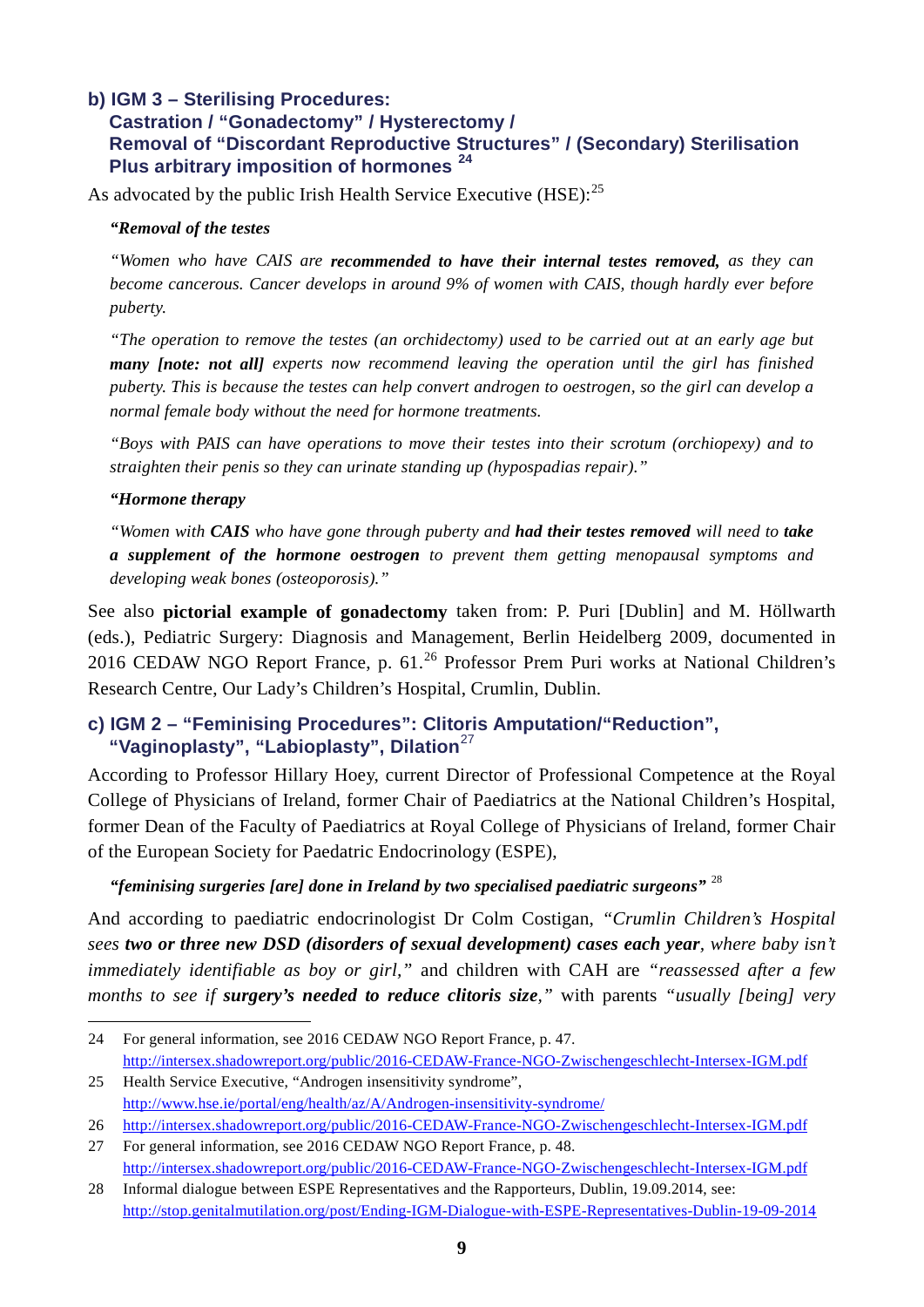#### <span id="page-8-0"></span>**b) IGM 3 – Sterilising Procedures:**

# **Castration / "Gonadectomy" / Hysterectomy / Removal of "Discordant Reproductive Structures" / (Secondary) Sterilisation Plus arbitrary imposition of hormones [24](#page-8-2)**

As advocated by the public Irish Health Service Executive (HSE):<sup>[25](#page-8-3)</sup>

#### *"Removal of the testes*

*"Women who have CAIS are recommended to have their internal testes removed, as they can become cancerous. Cancer develops in around 9% of women with CAIS, though hardly ever before puberty.*

*"The operation to remove the testes (an orchidectomy) used to be carried out at an early age but many [note: not all] experts now recommend leaving the operation until the girl has finished puberty. This is because the testes can help convert androgen to oestrogen, so the girl can develop a normal female body without the need for hormone treatments.*

*"Boys with PAIS can have operations to move their testes into their scrotum (orchiopexy) and to straighten their penis so they can urinate standing up (hypospadias repair)."* 

#### *"Hormone therapy*

-

*"Women with CAIS who have gone through puberty and had their testes removed will need to take a supplement of the hormone oestrogen to prevent them getting menopausal symptoms and developing weak bones (osteoporosis)."*

See also **pictorial example of gonadectomy** taken from: P. Puri [Dublin] and M. Höllwarth (eds.), Pediatric Surgery: Diagnosis and Management, Berlin Heidelberg 2009, documented in 2016 CEDAW NGO Report France, p. 61.<sup>[26](#page-8-4)</sup> Professor Prem Puri works at National Children's Research Centre, Our Lady's Children's Hospital, Crumlin, Dublin.

#### <span id="page-8-1"></span>**c) IGM 2 – "Feminising Procedures": Clitoris Amputation/"Reduction", "Vaginoplasty", "Labioplasty", Dilation**[27](#page-8-5)

According to Professor Hillary Hoey, current Director of Professional Competence at the Royal College of Physicians of Ireland, former Chair of Paediatrics at the National Children's Hospital, former Dean of the Faculty of Paediatrics at Royal College of Physicians of Ireland, former Chair of the European Society for Paedatric Endocrinology (ESPE),

#### *"feminising surgeries [are] done in Ireland by two specialised paediatric surgeons"* [28](#page-8-6)

And according to paediatric endocrinologist Dr Colm Costigan, *"Crumlin Children's Hospital sees two or three new DSD (disorders of sexual development) cases each year, where baby isn't immediately identifiable as boy or girl,"* and children with CAH are *"reassessed after a few months to see if surgery's needed to reduce clitoris size,"* with parents *"usually [being] very* 

<span id="page-8-3"></span>25 Health Service Executive, "Androgen insensitivity syndrome",

<span id="page-8-2"></span><sup>24</sup> For general information, see 2016 CEDAW NGO Report France, p. 47. <http://intersex.shadowreport.org/public/2016-CEDAW-France-NGO-Zwischengeschlecht-Intersex-IGM.pdf>

<http://www.hse.ie/portal/eng/health/az/A/Androgen-insensitivity-syndrome/>

<span id="page-8-4"></span><sup>26</sup> <http://intersex.shadowreport.org/public/2016-CEDAW-France-NGO-Zwischengeschlecht-Intersex-IGM.pdf>

<span id="page-8-5"></span><sup>27</sup> For general information, see 2016 CEDAW NGO Report France, p. 48. <http://intersex.shadowreport.org/public/2016-CEDAW-France-NGO-Zwischengeschlecht-Intersex-IGM.pdf>

<span id="page-8-6"></span><sup>28</sup> Informal dialogue between ESPE Representatives and the Rapporteurs, Dublin, 19.09.2014, see: <http://stop.genitalmutilation.org/post/Ending-IGM-Dialogue-with-ESPE-Representatives-Dublin-19-09-2014>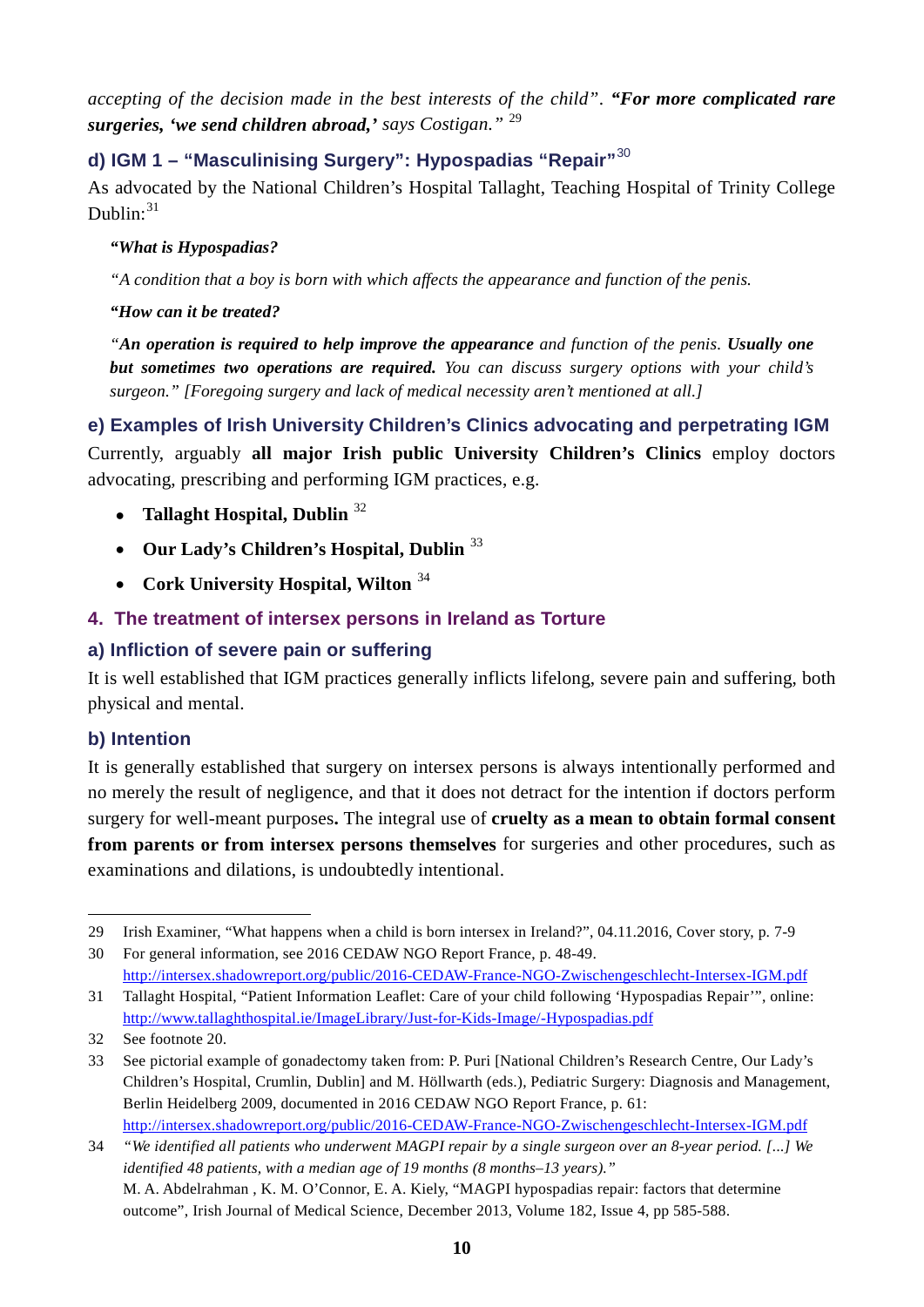*accepting of the decision made in the best interests of the child"*. *"For more complicated rare surgeries, 'we send children abroad,' says Costigan."* [29](#page-9-5)

# <span id="page-9-0"></span>**d) IGM 1 – "Masculinising Surgery": Hypospadias "Repair"**[30](#page-9-6)

As advocated by the National Children's Hospital Tallaght, Teaching Hospital of Trinity College Dublin: $31$ 

#### *"What is Hypospadias?*

*"A condition that a boy is born with which affects the appearance and function of the penis.*

#### *"How can it be treated?*

*"An operation is required to help improve the appearance and function of the penis. Usually one but sometimes two operations are required. You can discuss surgery options with your child's surgeon." [Foregoing surgery and lack of medical necessity aren't mentioned at all.]*

<span id="page-9-1"></span>**e) Examples of Irish University Children's Clinics advocating and perpetrating IGM** Currently, arguably **all major Irish public University Children's Clinics** employ doctors advocating, prescribing and performing IGM practices, e.g.

- **Tallaght Hospital, Dublin** [32](#page-9-8)
- **Our Lady's Children's Hospital, Dublin** [33](#page-9-9)
- **Cork University Hospital, Wilton** [34](#page-9-10)

# <span id="page-9-2"></span>**4. The treatment of intersex persons in Ireland as Torture**

# <span id="page-9-3"></span>**a) Infliction of severe pain or suffering**

It is well established that IGM practices generally inflicts lifelong, severe pain and suffering, both physical and mental.

# <span id="page-9-4"></span>**b) Intention**

It is generally established that surgery on intersex persons is always intentionally performed and no merely the result of negligence, and that it does not detract for the intention if doctors perform surgery for well-meant purposes**.** The integral use of **cruelty as a mean to obtain formal consent from parents or from intersex persons themselves** for surgeries and other procedures, such as examinations and dilations, is undoubtedly intentional.

<span id="page-9-6"></span><span id="page-9-5"></span>30 For general information, see 2016 CEDAW NGO Report France, p. 48-49. <http://intersex.shadowreport.org/public/2016-CEDAW-France-NGO-Zwischengeschlecht-Intersex-IGM.pdf>

<sup>-</sup>29 Irish Examiner, "What happens when a child is born intersex in Ireland?", 04.11.2016, Cover story, p. 7-9

<span id="page-9-7"></span><sup>31</sup> Tallaght Hospital, "Patient Information Leaflet: Care of your child following 'Hypospadias Repair'", online: <http://www.tallaghthospital.ie/ImageLibrary/Just-for-Kids-Image/-Hypospadias.pdf>

<span id="page-9-8"></span><sup>32</sup> See footnote 20.

<span id="page-9-9"></span><sup>33</sup> See pictorial example of gonadectomy taken from: P. Puri [National Children's Research Centre, Our Lady's Children's Hospital, Crumlin, Dublin] and M. Höllwarth (eds.), Pediatric Surgery: Diagnosis and Management, Berlin Heidelberg 2009, documented in 2016 CEDAW NGO Report France, p. 61: <http://intersex.shadowreport.org/public/2016-CEDAW-France-NGO-Zwischengeschlecht-Intersex-IGM.pdf>

<span id="page-9-10"></span><sup>34</sup> *"We identified all patients who underwent MAGPI repair by a single surgeon over an 8-year period. [...] We identified 48 patients, with a median age of 19 months (8 months–13 years)."* M. A. Abdelrahman , K. M. O'Connor, E. A. Kiely, "MAGPI hypospadias repair: factors that determine outcome", Irish Journal of Medical Science, December 2013, Volume 182, Issue 4, pp 585-588.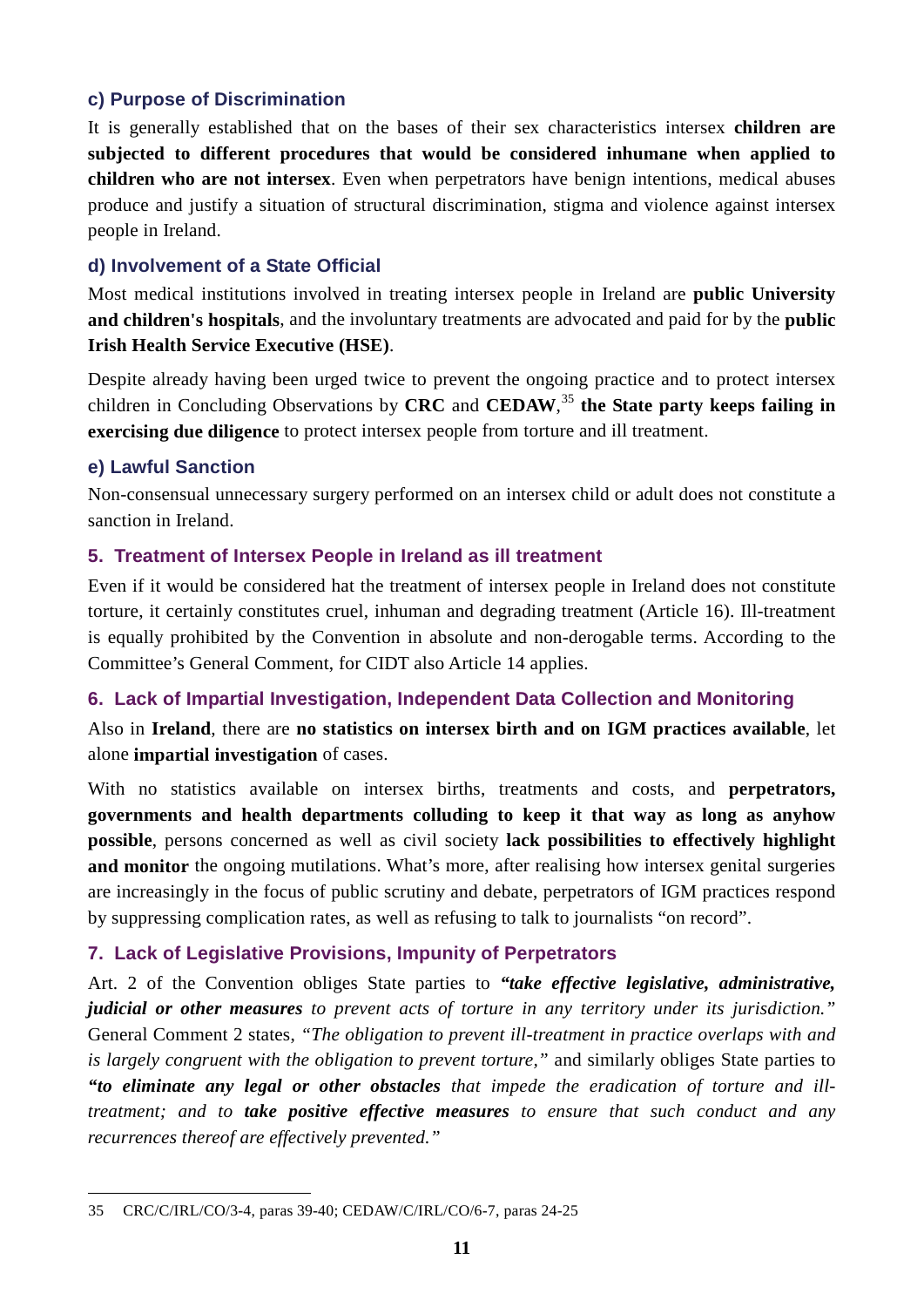# <span id="page-10-0"></span>**c) Purpose of Discrimination**

It is generally established that on the bases of their sex characteristics intersex **children are subjected to different procedures that would be considered inhumane when applied to children who are not intersex**. Even when perpetrators have benign intentions, medical abuses produce and justify a situation of structural discrimination, stigma and violence against intersex people in Ireland.

# <span id="page-10-1"></span>**d) Involvement of a State Official**

Most medical institutions involved in treating intersex people in Ireland are **public University and children's hospitals**, and the involuntary treatments are advocated and paid for by the **public Irish Health Service Executive (HSE)**.

Despite already having been urged twice to prevent the ongoing practice and to protect intersex children in Concluding Observations by **CRC** and **CEDAW**, [35](#page-10-6) **the State party keeps failing in exercising due diligence** to protect intersex people from torture and ill treatment.

# <span id="page-10-2"></span>**e) Lawful Sanction**

<u>.</u>

Non-consensual unnecessary surgery performed on an intersex child or adult does not constitute a sanction in Ireland.

# <span id="page-10-3"></span>**5. Treatment of Intersex People in Ireland as ill treatment**

Even if it would be considered hat the treatment of intersex people in Ireland does not constitute torture, it certainly constitutes cruel, inhuman and degrading treatment (Article 16). Ill-treatment is equally prohibited by the Convention in absolute and non-derogable terms. According to the Committee's General Comment, for CIDT also Article 14 applies.

# <span id="page-10-4"></span>**6. Lack of Impartial Investigation, Independent Data Collection and Monitoring**

Also in **Ireland**, there are **no statistics on intersex birth and on IGM practices available**, let alone **impartial investigation** of cases.

With no statistics available on intersex births, treatments and costs, and **perpetrators, governments and health departments colluding to keep it that way as long as anyhow possible**, persons concerned as well as civil society **lack possibilities to effectively highlight and monitor** the ongoing mutilations. What's more, after realising how intersex genital surgeries are increasingly in the focus of public scrutiny and debate, perpetrators of IGM practices respond by suppressing complication rates, as well as refusing to talk to journalists "on record".

# <span id="page-10-5"></span>**7. Lack of Legislative Provisions, Impunity of Perpetrators**

Art. 2 of the Convention obliges State parties to *"take effective legislative, administrative, judicial or other measures to prevent acts of torture in any territory under its jurisdiction."* General Comment 2 states, *"The obligation to prevent ill-treatment in practice overlaps with and is largely congruent with the obligation to prevent torture,"* and similarly obliges State parties to *"to eliminate any legal or other obstacles that impede the eradication of torture and illtreatment; and to take positive effective measures to ensure that such conduct and any recurrences thereof are effectively prevented."*

<span id="page-10-6"></span><sup>35</sup> CRC/C/IRL/CO/3-4, paras 39-40; CEDAW/C/IRL/CO/6-7, paras 24-25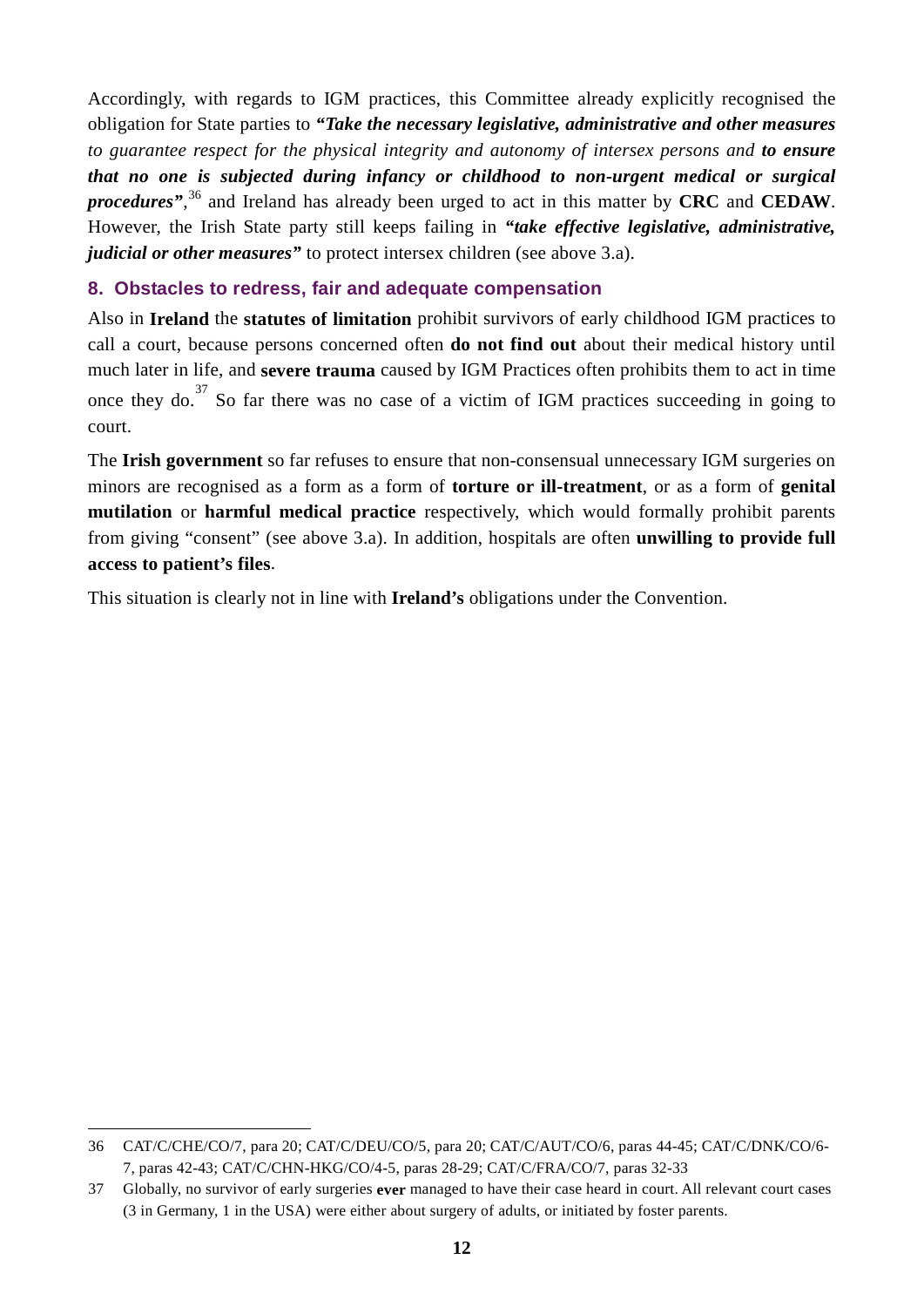Accordingly, with regards to IGM practices, this Committee already explicitly recognised the obligation for State parties to *"Take the necessary legislative, administrative and other measures to guarantee respect for the physical integrity and autonomy of intersex persons and to ensure that no one is subjected during infancy or childhood to non-urgent medical or surgical procedures"*, [36](#page-11-1) and Ireland has already been urged to act in this matter by **CRC** and **CEDAW**. However, the Irish State party still keeps failing in *"take effective legislative, administrative, judicial or other measures*" to protect intersex children (see above 3.a).

#### <span id="page-11-0"></span>**8. Obstacles to redress, fair and adequate compensation**

Also in **Ireland** the **statutes of limitation** prohibit survivors of early childhood IGM practices to call a court, because persons concerned often **do not find out** about their medical history until much later in life, and **severe trauma** caused by IGM Practices often prohibits them to act in time once they do.<sup>[37](#page-11-2)</sup> So far there was no case of a victim of IGM practices succeeding in going to court.

The **Irish government** so far refuses to ensure that non-consensual unnecessary IGM surgeries on minors are recognised as a form as a form of **torture or ill-treatment**, or as a form of **genital mutilation** or **harmful medical practice** respectively, which would formally prohibit parents from giving "consent" (see above 3.a). In addition, hospitals are often **unwilling to provide full access to patient's files**.

This situation is clearly not in line with **Ireland's** obligations under the Convention.

-

<span id="page-11-1"></span><sup>36</sup> CAT/C/CHE/CO/7, para 20; CAT/C/DEU/CO/5, para 20; CAT/C/AUT/CO/6, paras 44-45; CAT/C/DNK/CO/6- 7, paras 42-43; CAT/C/CHN-HKG/CO/4-5, paras 28-29; CAT/C/FRA/CO/7, paras 32-33

<span id="page-11-2"></span><sup>37</sup> Globally, no survivor of early surgeries **ever** managed to have their case heard in court. All relevant court cases (3 in Germany, 1 in the USA) were either about surgery of adults, or initiated by foster parents.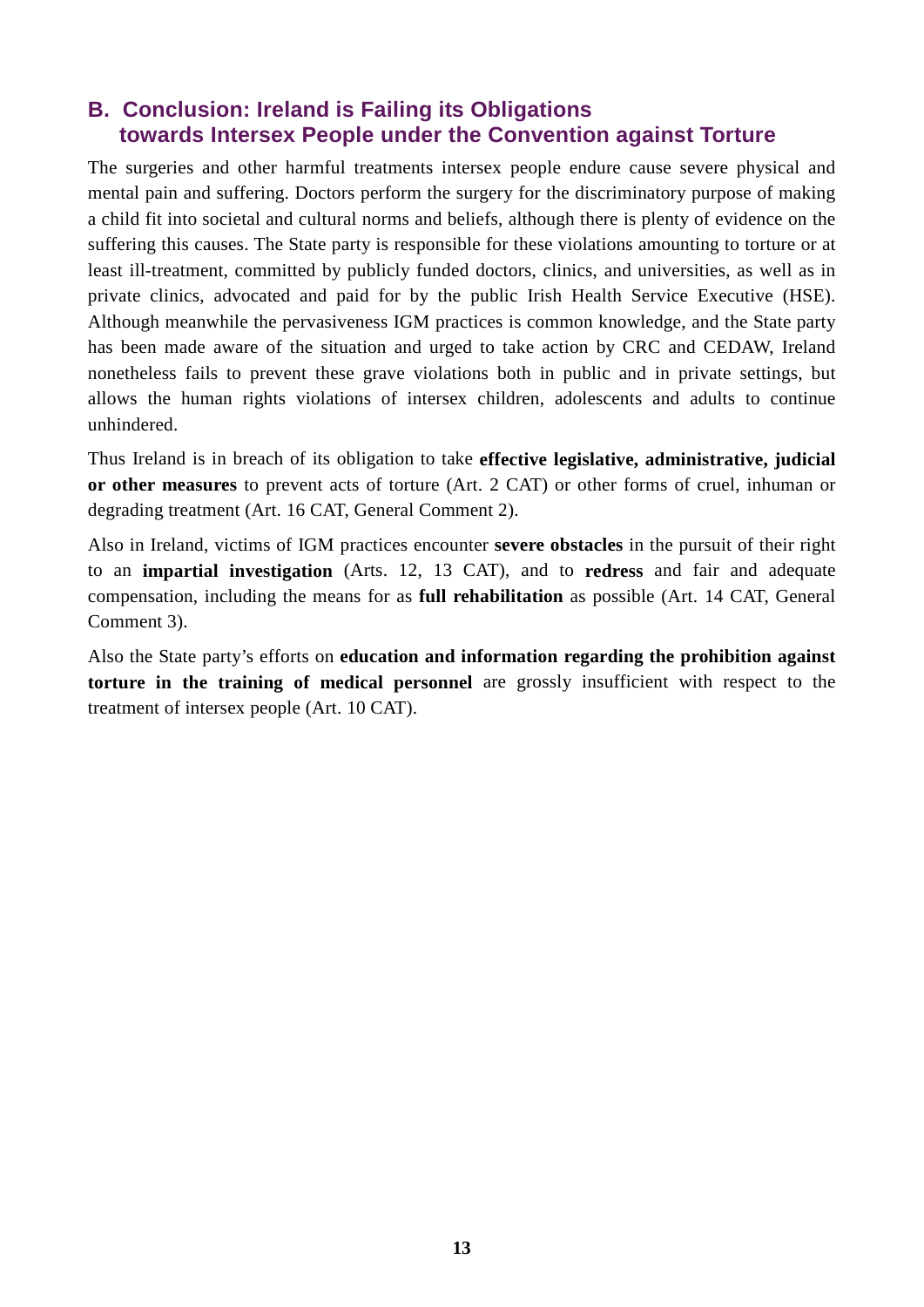# <span id="page-12-0"></span>**B. Conclusion: Ireland is Failing its Obligations towards Intersex People under the Convention against Torture**

The surgeries and other harmful treatments intersex people endure cause severe physical and mental pain and suffering. Doctors perform the surgery for the discriminatory purpose of making a child fit into societal and cultural norms and beliefs, although there is plenty of evidence on the suffering this causes. The State party is responsible for these violations amounting to torture or at least ill-treatment, committed by publicly funded doctors, clinics, and universities, as well as in private clinics, advocated and paid for by the public Irish Health Service Executive (HSE). Although meanwhile the pervasiveness IGM practices is common knowledge, and the State party has been made aware of the situation and urged to take action by CRC and CEDAW, Ireland nonetheless fails to prevent these grave violations both in public and in private settings, but allows the human rights violations of intersex children, adolescents and adults to continue unhindered.

Thus Ireland is in breach of its obligation to take **effective legislative, administrative, judicial or other measures** to prevent acts of torture (Art. 2 CAT) or other forms of cruel, inhuman or degrading treatment (Art. 16 CAT, General Comment 2).

Also in Ireland, victims of IGM practices encounter **severe obstacles** in the pursuit of their right to an **impartial investigation** (Arts. 12, 13 CAT), and to **redress** and fair and adequate compensation, including the means for as **full rehabilitation** as possible (Art. 14 CAT, General Comment 3).

Also the State party's efforts on **education and information regarding the prohibition against torture in the training of medical personnel** are grossly insufficient with respect to the treatment of intersex people (Art. 10 CAT).